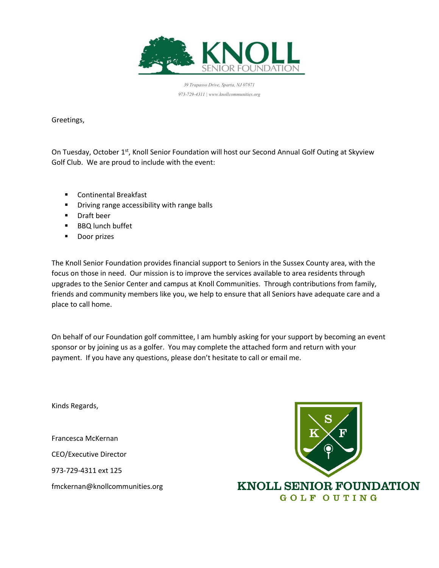

*39 Trapasso Drive, Sparta, NJ 07871 973-729-4311 | www.knollcommunities.org*

Greetings,

On Tuesday, October 1st, Knoll Senior Foundation will host our Second Annual Golf Outing at Skyview Golf Club. We are proud to include with the event:

- Continental Breakfast
- **E** Driving range accessibility with range balls
- Draft beer
- BBQ lunch buffet
- Door prizes

The Knoll Senior Foundation provides financial support to Seniors in the Sussex County area, with the focus on those in need. Our mission is to improve the services available to area residents through upgrades to the Senior Center and campus at Knoll Communities. Through contributions from family, friends and community members like you, we help to ensure that all Seniors have adequate care and a place to call home.

On behalf of our Foundation golf committee, I am humbly asking for your support by becoming an event sponsor or by joining us as a golfer. You may complete the attached form and return with your payment. If you have any questions, please don't hesitate to call or email me.

Kinds Regards,

Francesca McKernan

CEO/Executive Director

973-729-4311 ext 125

fmckernan@knollcommunities.org



**KNOLL SENIOR FOUNDATION GOLF OUTING**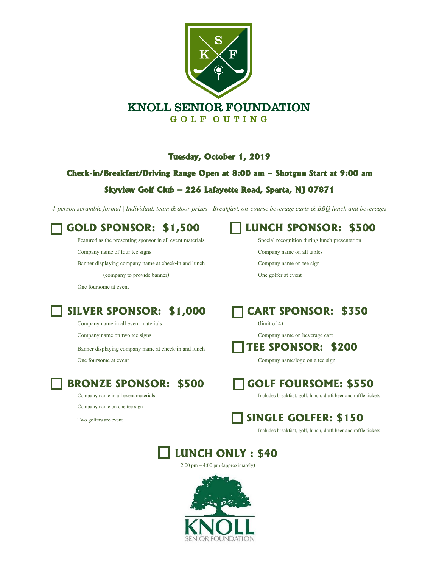

### **Tuesday, October 1, 2019**

### **Check-in/Breakfast/Driving Range Open at 8:00 am – Shotgun Start at 9:00 am**

## **Skyview Golf Club – 226 Lafayette Road, Sparta, NJ 07871**

*4-person scramble formal | Individual, team & door prizes | Breakfast, on-course beverage carts & BBQ lunch and beverages*

Featured as the presenting sponsor in all event materials Special recognition during lunch presentation

Banner displaying company name at check-in and lunch Company name on tee sign

(company to provide banner) One golfer at event

One foursome at event

# **SILVER SPONSOR: \$1,000 CART SPONSOR: \$350**

Company name in all event materials (limit of 4)

Company name on one tee sign

# **GOLD SPONSOR: \$1,500 LUNCH SPONSOR: \$500**

Company name of four tee signs Company name on all tables



Company name on two tee signs Company name on beverage cart

## Banner displaying company name at check-in and lunch **TEE SPONSOR: \$200**

One foursome at event Company name/logo on a tee sign



Company name in all event materials **Includes** breakfast, golf, lunch, draft beer and raffle tickets



Includes breakfast, golf, lunch, draft beer and raffle tickets

## **LUNCH ONLY : \$40**

2:00 pm – 4:00 pm (approximately)